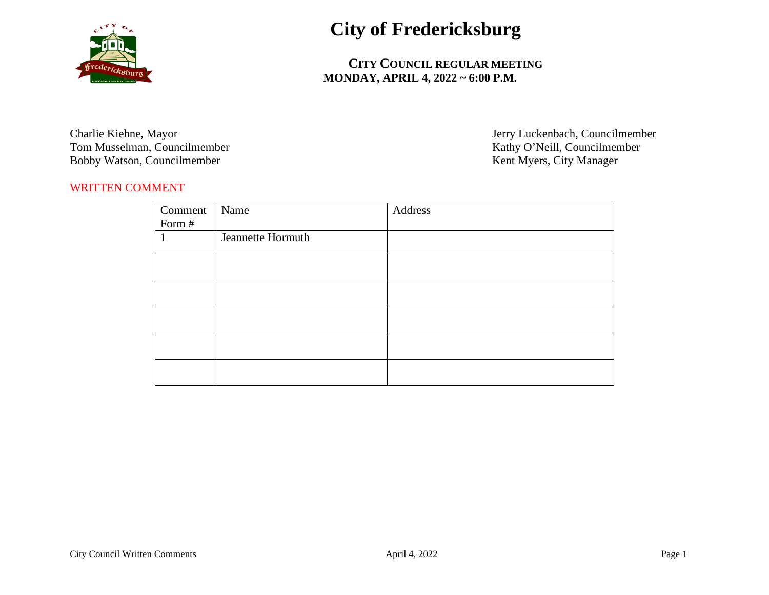

## **City of Fredericksburg**

 **CITY COUNCIL REGULAR MEETING MONDAY, APRIL 4, 2022 ~ 6:00 P.M.**

Tom Musselman, Councilmember<br>
Bobby Watson, Councilmember<br>
Robby Watson, Councilmember<br>
Rent Myers, City Manager Bobby Watson, Councilmember

Charlie Kiehne, Mayor Jerry Luckenbach, Councilmember

## WRITTEN COMMENT

| Comment | Name              | Address |
|---------|-------------------|---------|
| Form #  |                   |         |
|         | Jeannette Hormuth |         |
|         |                   |         |
|         |                   |         |
|         |                   |         |
|         |                   |         |
|         |                   |         |
|         |                   |         |
|         |                   |         |
|         |                   |         |
|         |                   |         |
|         |                   |         |